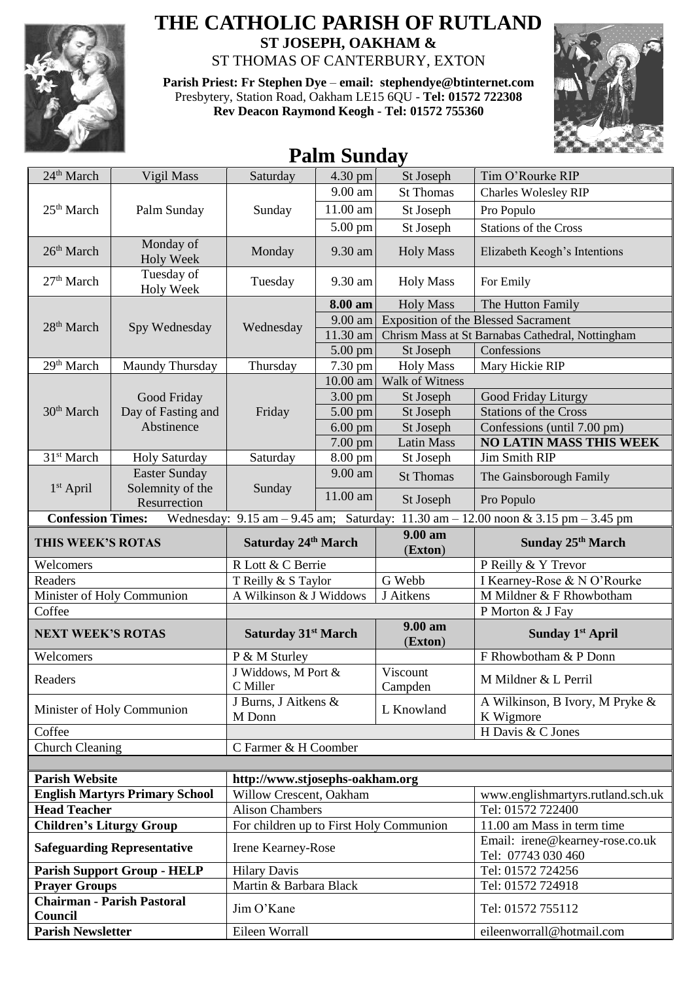

## **THE CATHOLIC PARISH OF RUTLAND ST JOSEPH, OAKHAM &**  ST THOMAS OF CANTERBURY, EXTON

**Parish Priest: Fr Stephen Dye** – **[email: stephendye@btinternet.com](mailto:email:%20%20stephendye@btinternet.com)**

Presbytery, Station Road, Oakham LE15 6QU - **Tel: 01572 722308 Rev Deacon Raymond Keogh - Tel: 01572 755360**



## **Palm Sunday**

| 24 <sup>th</sup> March                                                                                                                  | Vigil Mass                                      | Saturday                                | 4.30 pm           | St Joseph                                  | Tim O'Rourke RIP                                      |  |
|-----------------------------------------------------------------------------------------------------------------------------------------|-------------------------------------------------|-----------------------------------------|-------------------|--------------------------------------------|-------------------------------------------------------|--|
|                                                                                                                                         | Palm Sunday                                     | Sunday                                  | 9.00 am           | <b>St Thomas</b>                           | <b>Charles Wolesley RIP</b>                           |  |
| 25 <sup>th</sup> March                                                                                                                  |                                                 |                                         | 11.00 am          | St Joseph                                  | Pro Populo                                            |  |
|                                                                                                                                         |                                                 |                                         | 5.00 pm           | St Joseph                                  | <b>Stations of the Cross</b>                          |  |
| 26 <sup>th</sup> March                                                                                                                  | Monday of<br><b>Holy Week</b>                   | Monday                                  | 9.30 am           | <b>Holy Mass</b>                           | Elizabeth Keogh's Intentions                          |  |
| 27 <sup>th</sup> March                                                                                                                  | Tuesday of<br><b>Holy Week</b>                  | Tuesday                                 | 9.30 am           | <b>Holy Mass</b>                           | For Emily                                             |  |
|                                                                                                                                         | Spy Wednesday                                   | Wednesday                               | 8.00 am           | <b>Holy Mass</b>                           | The Hutton Family                                     |  |
| 28 <sup>th</sup> March                                                                                                                  |                                                 |                                         | 9.00 am           | <b>Exposition of the Blessed Sacrament</b> |                                                       |  |
|                                                                                                                                         |                                                 |                                         | 11.30 am          |                                            | Chrism Mass at St Barnabas Cathedral, Nottingham      |  |
|                                                                                                                                         |                                                 |                                         | $5.00$ pm         | St Joseph                                  | Confessions                                           |  |
| 29 <sup>th</sup> March                                                                                                                  | Maundy Thursday                                 | Thursday                                | 7.30 pm           | <b>Holy Mass</b>                           | Mary Hickie RIP                                       |  |
|                                                                                                                                         | Good Friday<br>Day of Fasting and<br>Abstinence | Friday                                  |                   | 10.00 am Walk of Witness                   |                                                       |  |
| 30 <sup>th</sup> March                                                                                                                  |                                                 |                                         | $3.00 \text{ pm}$ | St Joseph                                  | Good Friday Liturgy                                   |  |
|                                                                                                                                         |                                                 |                                         | $5.00$ pm         | St Joseph                                  | <b>Stations of the Cross</b>                          |  |
|                                                                                                                                         |                                                 |                                         | $6.00$ pm         | St Joseph                                  | Confessions (until 7.00 pm)                           |  |
|                                                                                                                                         |                                                 |                                         | $7.00$ pm         | <b>Latin Mass</b>                          | <b>NO LATIN MASS THIS WEEK</b>                        |  |
| 31 <sup>st</sup> March                                                                                                                  | <b>Holy Saturday</b>                            | Saturday                                | 8.00 pm           | St Joseph                                  | Jim Smith RIP                                         |  |
| $1st$ April                                                                                                                             | <b>Easter Sunday</b>                            | Sunday                                  | 9.00 am           | <b>St Thomas</b>                           | The Gainsborough Family                               |  |
|                                                                                                                                         | Solemnity of the<br>Resurrection                |                                         | 11.00 am          | St Joseph                                  | Pro Populo                                            |  |
| <b>Confession Times:</b><br>Wednesday: $9.15 \text{ am} - 9.45 \text{ am}$ ; Saturday:<br>11.30 am $-$ 12.00 noon & 3.15 pm $-$ 3.45 pm |                                                 |                                         |                   |                                            |                                                       |  |
| THIS WEEK'S ROTAS                                                                                                                       |                                                 | Saturday 24th March                     |                   | 9.00 am<br>(Exton)                         | Sunday 25 <sup>th</sup> March                         |  |
| Welcomers                                                                                                                               |                                                 | R Lott & C Berrie                       |                   |                                            | P Reilly & Y Trevor                                   |  |
| Readers                                                                                                                                 |                                                 | T Reilly & S Taylor                     |                   | G Webb                                     | I Kearney-Rose & N O'Rourke                           |  |
| Minister of Holy Communion                                                                                                              |                                                 | A Wilkinson & J Widdows                 |                   | J Aitkens                                  | M Mildner & F Rhowbotham                              |  |
| Coffee                                                                                                                                  |                                                 |                                         |                   |                                            | P Morton & J Fay                                      |  |
| <b>NEXT WEEK'S ROTAS</b>                                                                                                                |                                                 | Saturday 31 <sup>st</sup> March         |                   | 9.00 am<br>(Exton)                         | Sunday 1 <sup>st</sup> April                          |  |
| Welcomers                                                                                                                               |                                                 | P & M Sturley                           |                   |                                            | F Rhowbotham & P Donn                                 |  |
| Readers                                                                                                                                 |                                                 | J Widdows, M Port &<br>C Miller         |                   | Viscount<br>Campden                        | M Mildner & L Perril                                  |  |
| Minister of Holy Communion                                                                                                              |                                                 | J Burns, J Aitkens &<br>M Donn          |                   | L Knowland                                 | A Wilkinson, B Ivory, M Pryke &<br>K Wigmore          |  |
| Coffee                                                                                                                                  |                                                 |                                         |                   |                                            | H Davis & C Jones                                     |  |
| <b>Church Cleaning</b>                                                                                                                  |                                                 | C Farmer & H Coomber                    |                   |                                            |                                                       |  |
|                                                                                                                                         |                                                 |                                         |                   |                                            |                                                       |  |
| <b>Parish Website</b>                                                                                                                   |                                                 | http://www.stjosephs-oakham.org         |                   |                                            |                                                       |  |
| <b>English Martyrs Primary School</b>                                                                                                   |                                                 | Willow Crescent, Oakham                 |                   |                                            | www.englishmartyrs.rutland.sch.uk                     |  |
| <b>Head Teacher</b>                                                                                                                     |                                                 | <b>Alison Chambers</b>                  |                   |                                            | Tel: 01572 722400                                     |  |
| <b>Children's Liturgy Group</b>                                                                                                         |                                                 | For children up to First Holy Communion |                   |                                            | 11.00 am Mass in term time                            |  |
| <b>Safeguarding Representative</b>                                                                                                      |                                                 | Irene Kearney-Rose                      |                   |                                            | Email: irene@kearney-rose.co.uk<br>Tel: 07743 030 460 |  |
| <b>Parish Support Group - HELP</b>                                                                                                      |                                                 | <b>Hilary Davis</b>                     |                   |                                            | Tel: 01572 724256                                     |  |
| <b>Prayer Groups</b>                                                                                                                    |                                                 | Martin & Barbara Black                  |                   |                                            | Tel: 01572 724918                                     |  |
| <b>Chairman - Parish Pastoral</b><br>Council                                                                                            |                                                 | Jim O'Kane                              |                   |                                            | Tel: 01572 755112                                     |  |
| <b>Parish Newsletter</b>                                                                                                                |                                                 | Eileen Worrall                          |                   |                                            | eileenworrall@hotmail.com                             |  |